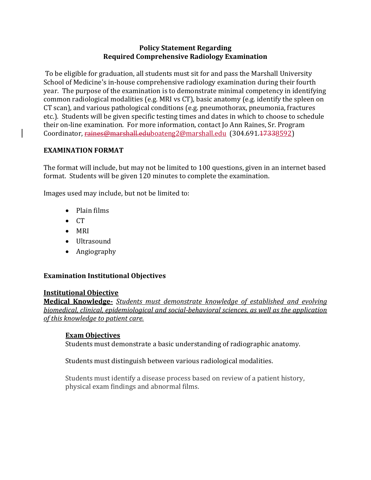### **Policy Statement Regarding Required Comprehensive Radiology Examination**

To be eligible for graduation, all students must sit for and pass the Marshall University School of Medicine's in-house comprehensive radiology examination during their fourth year. The purpose of the examination is to demonstrate minimal competency in identifying common radiological modalities (e.g. MRI vs CT), basic anatomy (e.g. identify the spleen on CT scan), and various pathological conditions (e.g. pneumothorax, pneumonia, fractures etc.). Students will be given specific testing times and dates in which to choose to schedule their on-line examination. For more information, contact Jo Ann Raines, Sr. Program Coordinator, raines@marshall.ed[uboateng2@marshall.edu](mailto:raines@marshall.edu) (304.691.17338592)

# **EXAMINATION FORMAT**

The format will include, but may not be limited to 100 questions, given in an internet based format. Students will be given 120 minutes to complete the examination.

Images used may include, but not be limited to:

- Plain films
- $\bullet$  CT
- $\bullet$  MRI
- Ultrasound
- Angiography

# **Examination Institutional Objectives**

### **Institutional Objective**

**Medical Knowledge-** *Students must demonstrate knowledge of established and evolving biomedical, clinical, epidemiological and social-behavioral sciences, as well as the application of this knowledge to patient care.* 

### **Exam Objectives**

Students must demonstrate a basic understanding of radiographic anatomy.

# Students must distinguish between various radiological modalities.

Students must identify a disease process based on review of a patient history, physical exam findings and abnormal films.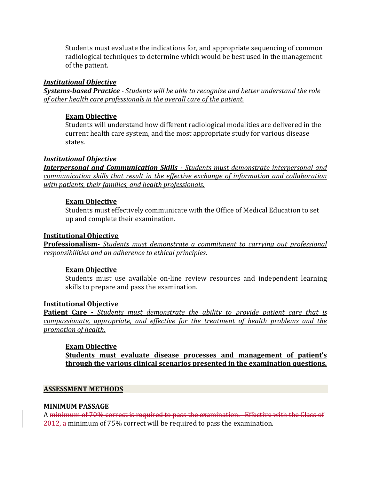Students must evaluate the indications for, and appropriate sequencing of common radiological techniques to determine which would be best used in the management of the patient.

### *Institutional Objective*

*Systems-based Practice - Students will be able to recognize and better understand the role of other health care professionals in the overall care of the patient.*

## **Exam Objective**

Students will understand how different radiological modalities are delivered in the current health care system, and the most appropriate study for various disease states.

## *Institutional Objective*

*Interpersonal and Communication Skills - Students must demonstrate interpersonal and communication skills that result in the effective exchange of information and collaboration with patients, their families, and health professionals.*

## **Exam Objective**

Students must effectively communicate with the Office of Medical Education to set up and complete their examination.

### **Institutional Objective**

**Professionalism-** *Students must demonstrate a commitment to carrying out professional responsibilities and an adherence to ethical principles.*

# **Exam Objective**

Students must use available on-line review resources and independent learning skills to prepare and pass the examination.

### **Institutional Objective**

**Patient Care -** *Students must demonstrate the ability to provide patient care that is compassionate, appropriate, and effective for the treatment of health problems and the promotion of health.*

### **Exam Objective**

**Students must evaluate disease processes and management of patient's through the various clinical scenarios presented in the examination questions.** 

### **ASSESSMENT METHODS**

### **MINIMUM PASSAGE**

A minimum of 70% correct is required to pass the examination. Effective with the Class of 2012, a minimum of 75% correct will be required to pass the examination.